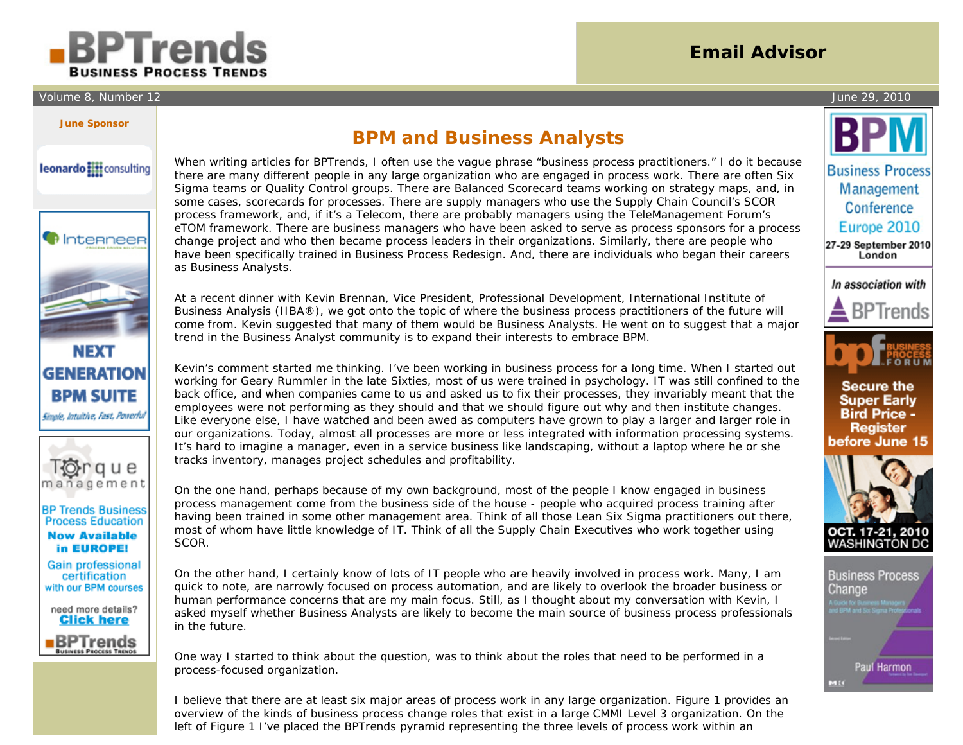

## Volume 8, Number 12 June 29, 2010

## **Email Advisor**

## **BPM and Business Analysts**

leonardo ::: consulting

**June Sponsor**



**NEXT** 

**GENERATION BPM SUITE** Simple, Intuitive, Fast, Powerful



**BP Trends Business Process Education** 

**Now Available** in EUROPE!

**Gain professional** certification with our BPM courses

need more details? **Click here BPTrends** 

 When writing articles for BPTrends, I often use the vague phrase "business process practitioners." I do it because there are many different people in any large organization who are engaged in process work. There are often Six Sigma teams or Quality Control groups. There are Balanced Scorecard teams working on strategy maps, and, in some cases, scorecards for processes. There are supply managers who use the Supply Chain Council's SCOR process framework, and, if it's a Telecom, there are probably managers using the TeleManagement Forum's eTOM framework. There are business managers who have been asked to serve as process sponsors for a process change project and who then became process leaders in their organizations. Similarly, there are people who have been specifically trained in Business Process Redesign. And, there are individuals who began their careers as Business Analysts.

At a recent dinner with Kevin Brennan, Vice President, Professional Development, International Institute of Business Analysis (IIBA®), we got onto the topic of where the business process practitioners of the future will come from. Kevin suggested that many of them would be Business Analysts. He went on to suggest that a major trend in the Business Analyst community is to expand their interests to embrace BPM.

Kevin's comment started me thinking. I've been working in business process for a long time. When I started out working for Geary Rummler in the late Sixties, most of us were trained in psychology. IT was still confined to the back office, and when companies came to us and asked us to fix their processes, they invariably meant that the employees were not performing as they should and that we should figure out why and then institute changes. Like everyone else, I have watched and been awed as computers have grown to play a larger and larger role in our organizations. Today, almost all processes are more or less integrated with information processing systems. It's hard to imagine a manager, even in a service business like landscaping, without a laptop where he or she tracks inventory, manages project schedules and profitability.

On the one hand, perhaps because of my own background, most of the people I know engaged in business process management come from the business side of the house - people who acquired process training after having been trained in some other management area. Think of all those Lean Six Sigma practitioners out there, most of whom have little knowledge of IT. Think of all the Supply Chain Executives who work together using SCOR.

On the other hand, I certainly know of lots of IT people who are heavily involved in process work. Many, I am quick to note, are narrowly focused on process automation, and are likely to overlook the broader business or human performance concerns that are my main focus. Still, as I thought about my conversation with Kevin, I asked myself whether Business Analysts are likely to become the main source of business process professionals in the future.

One way I started to think about the question, was to think about the roles that need to be performed in a process-focused organization.

I believe that there are at least six major areas of process work in any large organization. Figure 1 provides an overview of the kinds of business process change roles that exist in a large CMMI Level 3 organization. On the left of Figure 1 I've placed the BPTrends pyramid representing the three levels of process work within an



**Business Process** Change Paul Harmon MK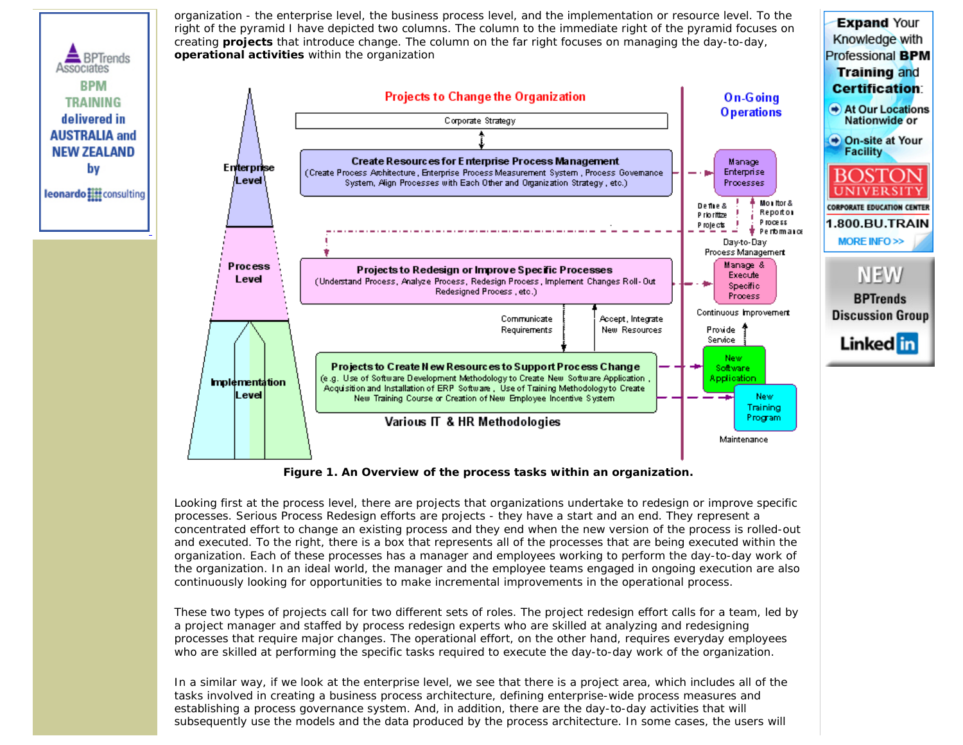organization - the enterprise level, the business process level, and the implementation or resource level. To the **Expand Your** right of the pyramid I have depicted two columns. The column to the immediate right of the pyramid focuses on Knowledge with creating **projects** that introduce change. The column on the far right focuses on managing the day-to-day, **operational activities** within the organization **Professional BPM**  $\triangle$  BPTrends Associates **Training and BPM Certification: Projects to Change the Organization** On-Going **TRAINING** At Our Locations **Operations** delivered in Corporate Strategy Nationwide or **AUSTRALIA and** ♦ On-site at Your **NEW ZEALAND Facility** Create Resources for Enterprise Process Management Manage by Enterprise (Create Process Architecture, Enterprise Process Measurement System, Process Governance Enterprise Level System, Align Processes with Each Other and Organization Strategy, etc.) Processes leonardo :: consulting Mon Itor & Define & **CORPORATE EDUCATION CENTER** Reportor P rio rittze P roce ss **1.800.BU.TRAIN** P roje cts Performance **MORE INFO>>** Dav-to-Dav Process Management Manage & **Process** Projects to Redesign or Improve Specific Processes NEW Execute Level (Understand Process, Analyze Process, Redesign Process, Implement Changes Roll-Out Specific Redesigned Process, etc.) Process **BPTrends** Continuous Improvement **Discussion Group** Communicate Accept, Integrate Requirements New Resources Provide Service **Linked** in **New** Projects to Create New Resources to Support Process Change Software (e.g. Use of Software Development Methodology to Create New Software Application, Application **Implementation** Acquisition and Installation of ERP Software, Use of Training Methodology to Create Level New New Training Course or Creation of New Employee Incentive System. Training Program Various IT & HR Methodologies Maintenance

**Figure 1. An Overview of the process tasks within an organization.**

Looking first at the process level, there are projects that organizations undertake to redesign or improve specific processes. Serious Process Redesign efforts are projects - they have a start and an end. They represent a concentrated effort to change an existing process and they end when the new version of the process is rolled-out and executed. To the right, there is a box that represents all of the processes that are being executed within the organization. Each of these processes has a manager and employees working to perform the day-to-day work of the organization. In an ideal world, the manager and the employee teams engaged in ongoing execution are also continuously looking for opportunities to make incremental improvements in the operational process.

These two types of projects call for two different sets of roles. The project redesign effort calls for a team, led by a project manager and staffed by process redesign experts who are skilled at analyzing and redesigning processes that require major changes. The operational effort, on the other hand, requires everyday employees who are skilled at performing the specific tasks required to execute the day-to-day work of the organization.

In a similar way, if we look at the enterprise level, we see that there is a project area, which includes all of the tasks involved in creating a business process architecture, defining enterprise-wide process measures and establishing a process governance system. And, in addition, there are the day-to-day activities that will subsequently use the models and the data produced by the process architecture. In some cases, the users will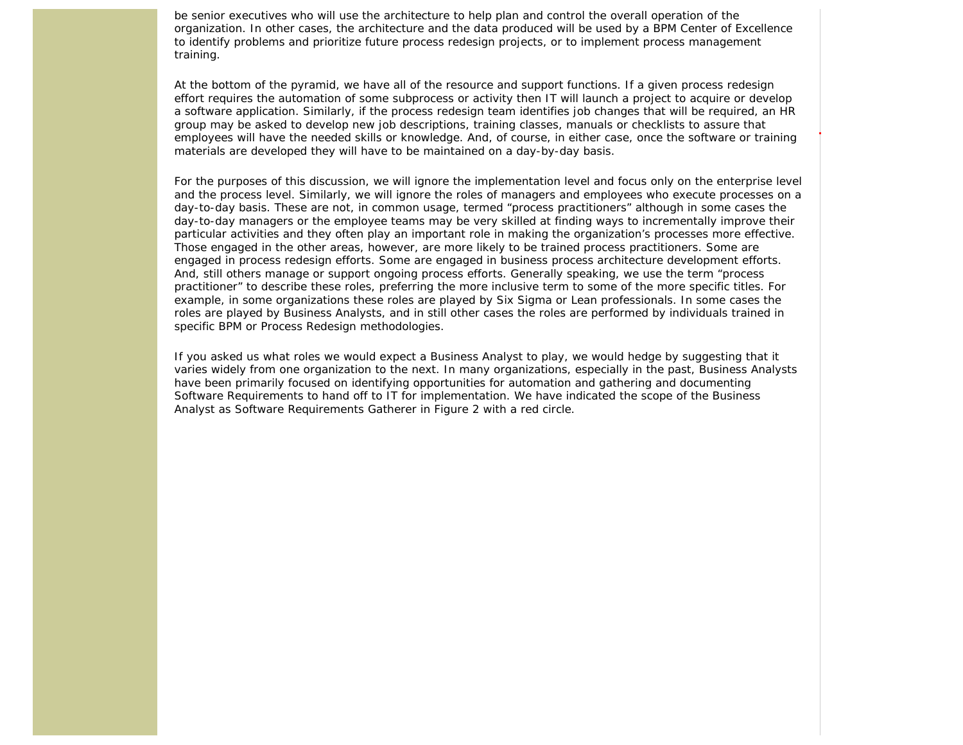be senior executives who will use the architecture to help plan and control the overall operation of the organization. In other cases, the architecture and the data produced will be used by a BPM Center of Excellence to identify problems and prioritize future process redesign projects, or to implement process management training.

At the bottom of the pyramid, we have all of the resource and support functions. If a given process redesign effort requires the automation of some subprocess or activity then IT will launch a project to acquire or develop a software application. Similarly, if the process redesign team identifies job changes that will be required, an HR group may be asked to develop new job descriptions, training classes, manuals or checklists to assure that employees will have the needed skills or knowledge. And, of course, in either case, once the software or training materials are developed they will have to be maintained on a day-by-day basis.

For the purposes of this discussion, we will ignore the implementation level and focus only on the enterprise level and the process level. Similarly, we will ignore the roles of managers and employees who execute processes on a day-to-day basis. These are not, in common usage, termed "process practitioners" although in some cases the day-to-day managers or the employee teams may be very skilled at finding ways to incrementally improve their particular activities and they often play an important role in making the organization's processes more effective. Those engaged in the other areas, however, are more likely to be trained process practitioners. Some are engaged in process redesign efforts. Some are engaged in business process architecture development efforts. And, still others manage or support ongoing process efforts. Generally speaking, we use the term "process practitioner" to describe these roles, preferring the more inclusive term to some of the more specific titles. For example, in some organizations these roles are played by Six Sigma or Lean professionals. In some cases the roles are played by Business Analysts, and in still other cases the roles are performed by individuals trained in specific BPM or Process Redesign methodologies.

If you asked us what roles we would expect a Business Analyst to play, we would hedge by suggesting that it varies widely from one organization to the next. In many organizations, especially in the past, Business Analysts have been primarily focused on identifying opportunities for automation and gathering and documenting Software Requirements to hand off to IT for implementation. We have indicated the scope of the Business Analyst as Software Requirements Gatherer in Figure 2 with a red circle.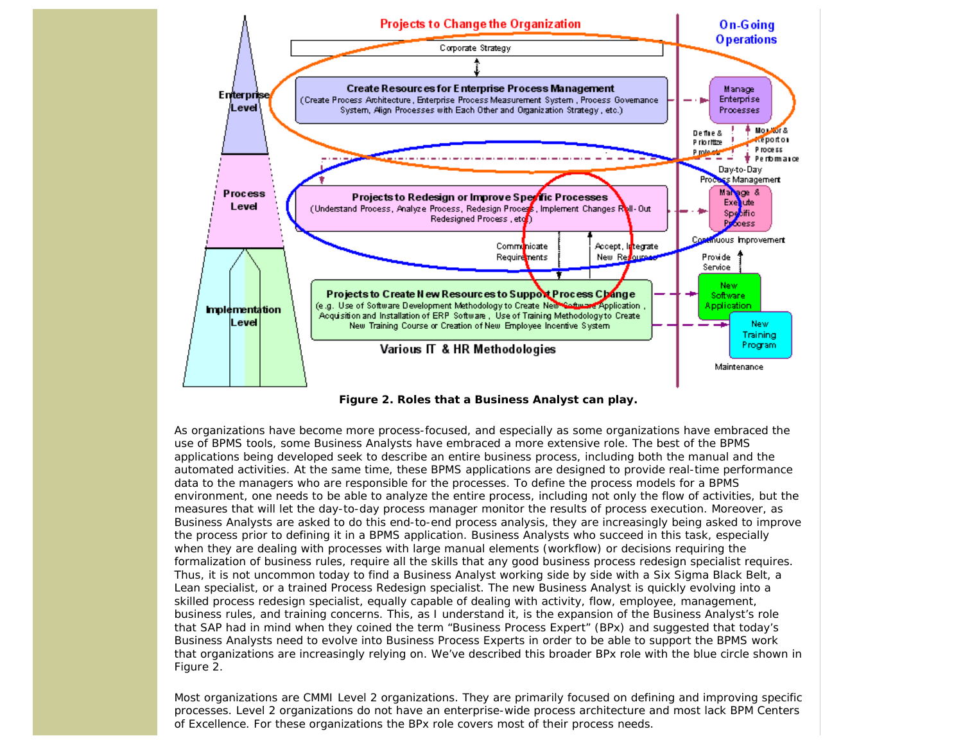

**Figure 2. Roles that a Business Analyst can play.**

As organizations have become more process-focused, and especially as some organizations have embraced the use of BPMS tools, some Business Analysts have embraced a more extensive role. The best of the BPMS applications being developed seek to describe an entire business process, including both the manual and the automated activities. At the same time, these BPMS applications are designed to provide real-time performance data to the managers who are responsible for the processes. To define the process models for a BPMS environment, one needs to be able to analyze the entire process, including not only the flow of activities, but the measures that will let the day-to-day process manager monitor the results of process execution. Moreover, as Business Analysts are asked to do this end-to-end process analysis, they are increasingly being asked to improve the process prior to defining it in a BPMS application. Business Analysts who succeed in this task, especially when they are dealing with processes with large manual elements (workflow) or decisions requiring the formalization of business rules, require all the skills that any good business process redesign specialist requires. Thus, it is not uncommon today to find a Business Analyst working side by side with a Six Sigma Black Belt, a Lean specialist, or a trained Process Redesign specialist. The new Business Analyst is quickly evolving into a skilled process redesign specialist, equally capable of dealing with activity, flow, employee, management, business rules, and training concerns. This, as I understand it, is the expansion of the Business Analyst's role that SAP had in mind when they coined the term "Business Process Expert" (BPx) and suggested that today's Business Analysts need to evolve into Business Process Experts in order to be able to support the BPMS work that organizations are increasingly relying on. We've described this broader BPx role with the blue circle shown in Figure 2.

Most organizations are CMMI Level 2 organizations. They are primarily focused on defining and improving specific processes. Level 2 organizations do not have an enterprise-wide process architecture and most lack BPM Centers of Excellence. For these organizations the BPx role covers most of their process needs.